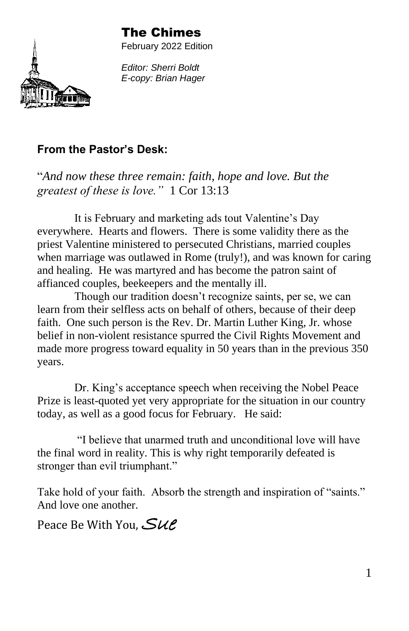#### The Chimes



February 2022 Edition

*Editor: Sherri Boldt E-copy: Brian Hager*

#### **From the Pastor's Desk:**

"*And now these three remain: faith, hope and love. But the greatest of these is love."* 1 Cor 13:13

It is February and marketing ads tout Valentine's Day everywhere. Hearts and flowers. There is some validity there as the priest Valentine ministered to persecuted Christians, married couples when marriage was outlawed in Rome (truly!), and was known for caring and healing. He was martyred and has become the patron saint of affianced couples, beekeepers and the mentally ill.

Though our tradition doesn't recognize saints, per se, we can learn from their selfless acts on behalf of others, because of their deep faith. One such person is the Rev. Dr. Martin Luther King, Jr. whose belief in non-violent resistance spurred the Civil Rights Movement and made more progress toward equality in 50 years than in the previous 350 years.

Dr. King's acceptance speech when receiving the Nobel Peace Prize is least-quoted yet very appropriate for the situation in our country today, as well as a good focus for February. He said:

"I believe that unarmed truth and unconditional love will have the final word in reality. This is why right temporarily defeated is stronger than evil triumphant."

Take hold of your faith. Absorb the strength and inspiration of "saints." And love one another.

Peace Be With You,  $\mathcal{S}_{\mathcal{U}\mathcal{E}}$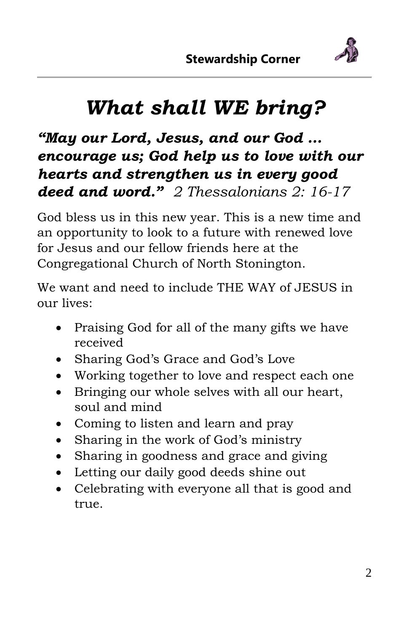

# *What shall WE bring?*

*"May our Lord, Jesus, and our God … encourage us; God help us to love with our hearts and strengthen us in every good deed and word." 2 Thessalonians 2: 16-17*

God bless us in this new year. This is a new time and an opportunity to look to a future with renewed love for Jesus and our fellow friends here at the Congregational Church of North Stonington.

We want and need to include THE WAY of JESUS in our lives:

- Praising God for all of the many gifts we have received
- Sharing God's Grace and God's Love
- Working together to love and respect each one
- Bringing our whole selves with all our heart, soul and mind
- Coming to listen and learn and pray
- Sharing in the work of God's ministry
- Sharing in goodness and grace and giving
- Letting our daily good deeds shine out
- Celebrating with everyone all that is good and true.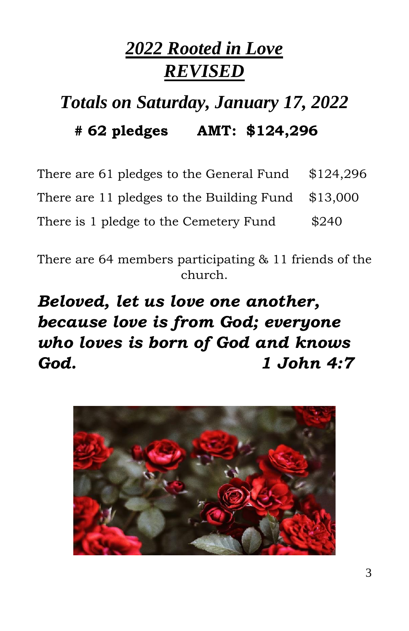# *2022 Rooted in Love REVISED*

# *Totals on Saturday, January 17, 2022* **# 62 pledges AMT: \$124,296**

| There are 61 pledges to the General Fund  | \$124,296 |
|-------------------------------------------|-----------|
| There are 11 pledges to the Building Fund | \$13,000  |
| There is 1 pledge to the Cemetery Fund    | \$240     |

There are 64 members participating & 11 friends of the church.

*Beloved, let us love one another, because love is from God; everyone who loves is born of God and knows God. 1 John 4:7*

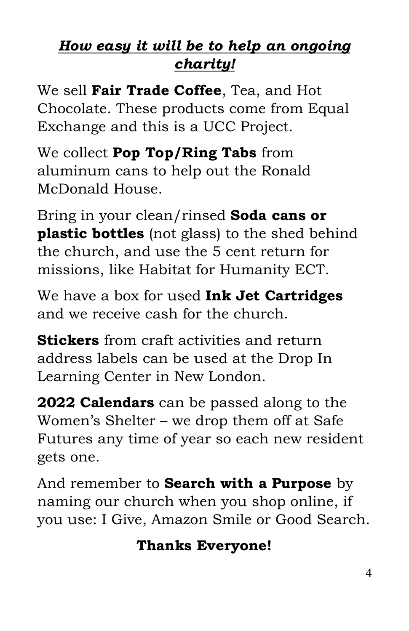## *How easy it will be to help an ongoing charity!*

We sell **Fair Trade Coffee**, Tea, and Hot Chocolate. These products come from Equal Exchange and this is a UCC Project.

We collect **Pop Top/Ring Tabs** from aluminum cans to help out the Ronald McDonald House.

Bring in your clean/rinsed **Soda cans or plastic bottles** (not glass) to the shed behind the church, and use the 5 cent return for missions, like Habitat for Humanity ECT.

We have a box for used **Ink Jet Cartridges** and we receive cash for the church.

**Stickers** from craft activities and return address labels can be used at the Drop In Learning Center in New London.

**2022 Calendars** can be passed along to the Women's Shelter – we drop them off at Safe Futures any time of year so each new resident gets one.

And remember to **Search with a Purpose** by naming our church when you shop online, if you use: I Give, Amazon Smile or Good Search.

### **Thanks Everyone!**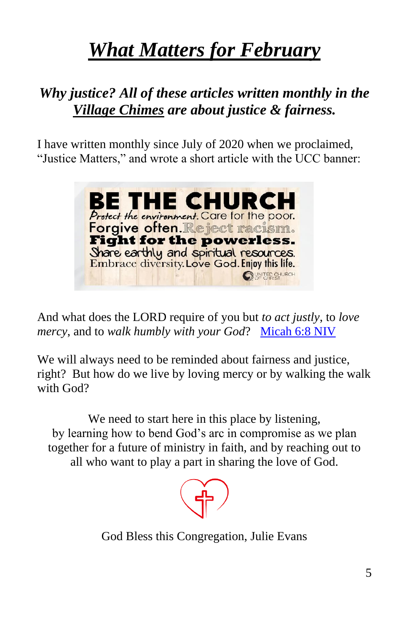# *What Matters for February*

### *Why justice? All of these articles written monthly in the Village Chimes are about justice & fairness.*

I have written monthly since July of 2020 when we proclaimed, "Justice Matters," and wrote a short article with the UCC banner:



And what does the LORD require of you but *to act justly*, to *love mercy*, and to *walk humbly with your God?* [Micah 6:8 NIV](https://biblehub.com/niv/micah/6-8.htm)

We will always need to be reminded about fairness and justice, right? But how do we live by loving mercy or by walking the walk with God?

We need to start here in this place by listening, by learning how to bend God's arc in compromise as we plan together for a future of ministry in faith, and by reaching out to all who want to play a part in sharing the love of God.



God Bless this Congregation, Julie Evans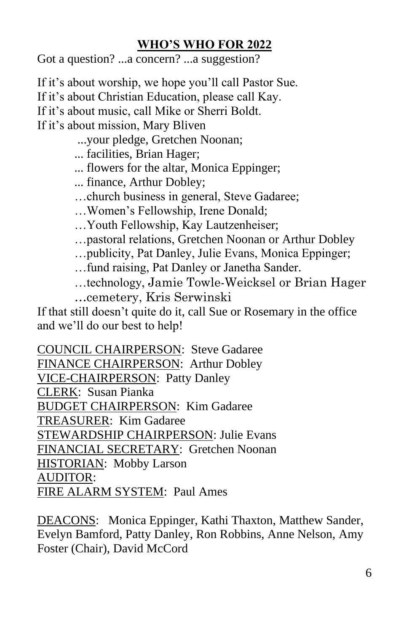#### **WHO'S WHO FOR 2022**

Got a question? ...a concern? ...a suggestion?

If it's about worship, we hope you'll call Pastor Sue. If it's about Christian Education, please call Kay. If it's about music, call Mike or Sherri Boldt. If it's about mission, Mary Bliven

...your pledge, Gretchen Noonan;

... facilities, Brian Hager;

... flowers for the altar, Monica Eppinger;

... finance, Arthur Dobley;

…church business in general, Steve Gadaree;

…Women's Fellowship, Irene Donald;

…Youth Fellowship, Kay Lautzenheiser;

…pastoral relations, Gretchen Noonan or Arthur Dobley

…publicity, Pat Danley, Julie Evans, Monica Eppinger;

…fund raising, Pat Danley or Janetha Sander.

…technology, Jamie Towle-Weicksel or Brian Hager

…cemetery, Kris Serwinski

If that still doesn't quite do it, call Sue or Rosemary in the office and we'll do our best to help!

COUNCIL CHAIRPERSON: Steve Gadaree FINANCE CHAIRPERSON: Arthur Dobley VICE-CHAIRPERSON: Patty Danley CLERK: Susan Pianka BUDGET CHAIRPERSON: Kim Gadaree TREASURER: Kim Gadaree STEWARDSHIP CHAIRPERSON: Julie Evans FINANCIAL SECRETARY: Gretchen Noonan HISTORIAN: Mobby Larson AUDITOR: FIRE ALARM SYSTEM: Paul Ames

DEACONS: Monica Eppinger, Kathi Thaxton, Matthew Sander, Evelyn Bamford, Patty Danley, Ron Robbins, Anne Nelson, Amy Foster (Chair), David McCord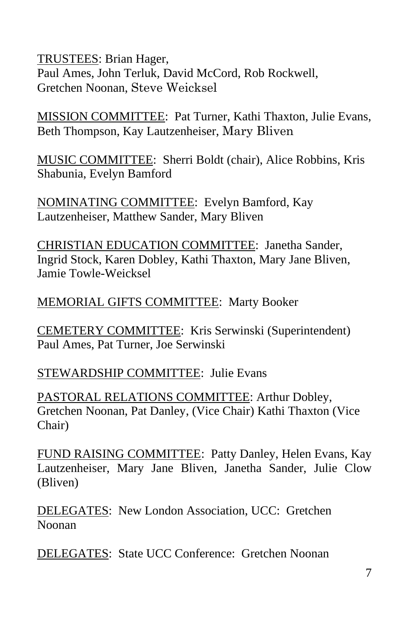TRUSTEES: Brian Hager, Paul Ames, John Terluk, David McCord, Rob Rockwell, Gretchen Noonan, Steve Weicksel

MISSION COMMITTEE: Pat Turner, Kathi Thaxton, Julie Evans, Beth Thompson, Kay Lautzenheiser, Mary Bliven

MUSIC COMMITTEE: Sherri Boldt (chair), Alice Robbins, Kris Shabunia, Evelyn Bamford

NOMINATING COMMITTEE: Evelyn Bamford, Kay Lautzenheiser, Matthew Sander, Mary Bliven

CHRISTIAN EDUCATION COMMITTEE: Janetha Sander, Ingrid Stock, Karen Dobley, Kathi Thaxton, Mary Jane Bliven, Jamie Towle-Weicksel

#### MEMORIAL GIFTS COMMITTEE: Marty Booker

CEMETERY COMMITTEE: Kris Serwinski (Superintendent) Paul Ames, Pat Turner, Joe Serwinski

STEWARDSHIP COMMITTEE: Julie Evans

PASTORAL RELATIONS COMMITTEE: Arthur Dobley, Gretchen Noonan, Pat Danley, (Vice Chair) Kathi Thaxton (Vice Chair)

FUND RAISING COMMITTEE: Patty Danley, Helen Evans, Kay Lautzenheiser, Mary Jane Bliven, Janetha Sander, Julie Clow (Bliven)

DELEGATES: New London Association, UCC: Gretchen Noonan

DELEGATES: State UCC Conference: Gretchen Noonan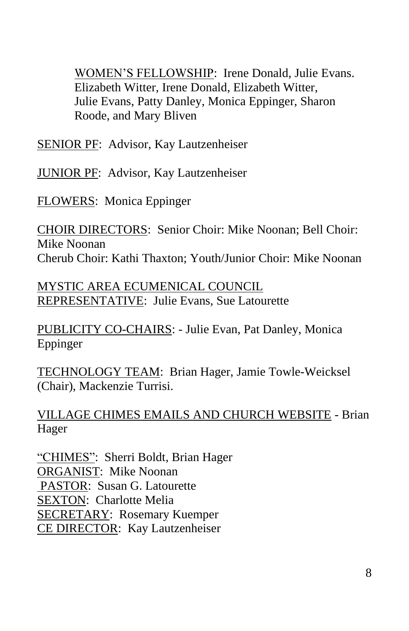WOMEN'S FELLOWSHIP: Irene Donald, Julie Evans. Elizabeth Witter, Irene Donald, Elizabeth Witter, Julie Evans, Patty Danley, Monica Eppinger, Sharon Roode, and Mary Bliven

SENIOR PF: Advisor, Kay Lautzenheiser

JUNIOR PF: Advisor, Kay Lautzenheiser

FLOWERS: Monica Eppinger

CHOIR DIRECTORS: Senior Choir: Mike Noonan; Bell Choir: Mike Noonan Cherub Choir: Kathi Thaxton; Youth/Junior Choir: Mike Noonan

MYSTIC AREA ECUMENICAL COUNCIL REPRESENTATIVE: Julie Evans, Sue Latourette

PUBLICITY CO-CHAIRS: - Julie Evan, Pat Danley, Monica Eppinger

TECHNOLOGY TEAM: Brian Hager, Jamie Towle-Weicksel (Chair), Mackenzie Turrisi.

VILLAGE CHIMES EMAILS AND CHURCH WEBSITE - Brian Hager

"CHIMES": Sherri Boldt, Brian Hager ORGANIST: Mike Noonan PASTOR: Susan G. Latourette SEXTON: Charlotte Melia SECRETARY: Rosemary Kuemper CE DIRECTOR: Kay Lautzenheiser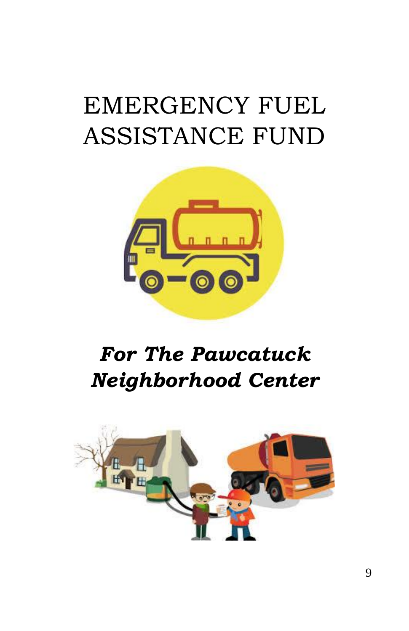# EMERGENCY FUEL ASSISTANCE FUND



# *For The Pawcatuck Neighborhood Center*

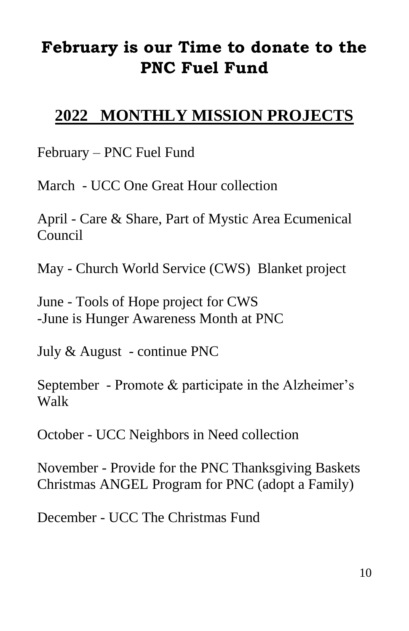## **February is our Time to donate to the PNC Fuel Fund**

### **2022 MONTHLY MISSION PROJECTS**

February – PNC Fuel Fund

March - UCC One Great Hour collection

April - Care & Share, Part of Mystic Area Ecumenical Council

May - Church World Service (CWS) Blanket project

June - Tools of Hope project for CWS -June is Hunger Awareness Month at PNC

July & August - continue PNC

September - Promote & participate in the Alzheimer's Walk

October - UCC Neighbors in Need collection

November - Provide for the PNC Thanksgiving Baskets Christmas ANGEL Program for PNC (adopt a Family)

December - UCC The Christmas Fund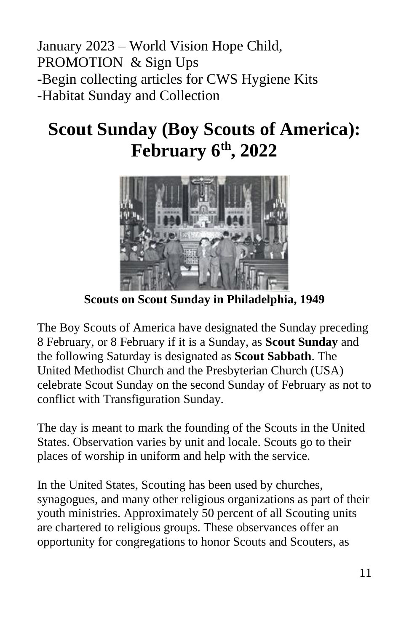January 2023 – World Vision Hope Child, PROMOTION & Sign Ups -Begin collecting articles for CWS Hygiene Kits -Habitat Sunday and Collection

# **Scout Sunday (Boy Scouts of America): February 6 th, 2022**



**Scouts on Scout Sunday in Philadelphia, 1949**

The Boy Scouts of America have designated the Sunday preceding 8 February, or 8 February if it is a Sunday, as **Scout Sunday** and the following Saturday is designated as **Scout Sabbath**. The United Methodist Church and the Presbyterian Church (USA) celebrate Scout Sunday on the second Sunday of February as not to conflict with Transfiguration Sunday.

The day is meant to mark the founding of the Scouts in the United States. Observation varies by unit and locale. Scouts go to their places of worship in uniform and help with the service.

In the United States, Scouting has been used by churches, synagogues, and many other religious organizations as part of their youth ministries. Approximately 50 percent of all Scouting units are chartered to religious groups. These observances offer an opportunity for congregations to honor Scouts and Scouters, as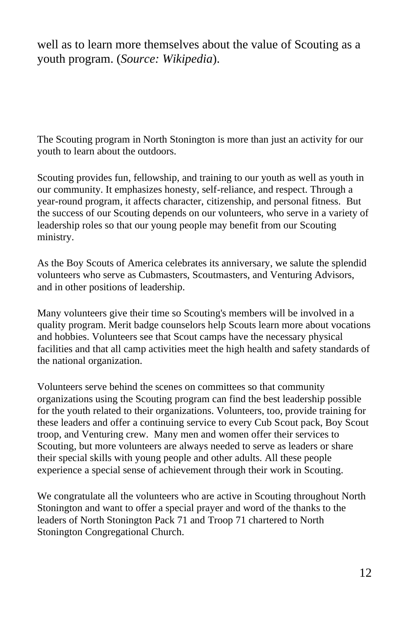well as to learn more themselves about the value of Scouting as a youth program. (*Source: Wikipedia*).

The Scouting program in North Stonington is more than just an activity for our youth to learn about the outdoors.

Scouting provides fun, fellowship, and training to our youth as well as youth in our community. It emphasizes honesty, self-reliance, and respect. Through a year-round program, it affects character, citizenship, and personal fitness. But the success of our Scouting depends on our volunteers, who serve in a variety of leadership roles so that our young people may benefit from our Scouting ministry.

As the Boy Scouts of America celebrates its anniversary, we salute the splendid volunteers who serve as Cubmasters, Scoutmasters, and Venturing Advisors, and in other positions of leadership.

Many volunteers give their time so Scouting's members will be involved in a quality program. Merit badge counselors help Scouts learn more about vocations and hobbies. Volunteers see that Scout camps have the necessary physical facilities and that all camp activities meet the high health and safety standards of the national organization.

Volunteers serve behind the scenes on committees so that community organizations using the Scouting program can find the best leadership possible for the youth related to their organizations. Volunteers, too, provide training for these leaders and offer a continuing service to every Cub Scout pack, Boy Scout troop, and Venturing crew. Many men and women offer their services to Scouting, but more volunteers are always needed to serve as leaders or share their special skills with young people and other adults. All these people experience a special sense of achievement through their work in Scouting.

We congratulate all the volunteers who are active in Scouting throughout North Stonington and want to offer a special prayer and word of the thanks to the leaders of North Stonington Pack 71 and Troop 71 chartered to North Stonington Congregational Church.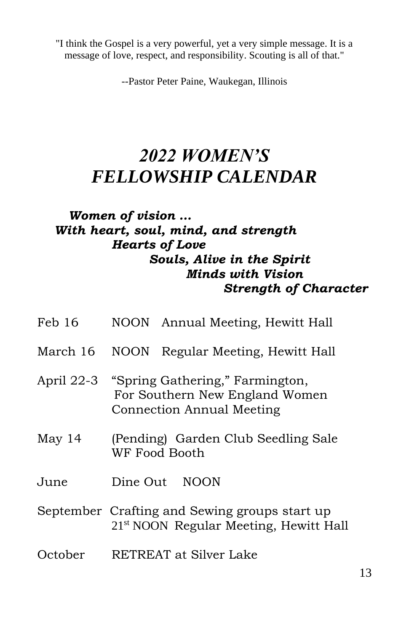"I think the Gospel is a very powerful, yet a very simple message. It is a message of love, respect, and responsibility. Scouting is all of that."

--Pastor Peter Paine, Waukegan, Illinois

## *2022 WOMEN'S FELLOWSHIP CALENDAR*

#### *Women of vision … With heart, soul, mind, and strength Hearts of Love Souls, Alive in the Spirit Minds with Vision Strength of Character*

| Feb 16   | NOON Annual Meeting, Hewitt Hall                                                                          |
|----------|-----------------------------------------------------------------------------------------------------------|
| March 16 | NOON Regular Meeting, Hewitt Hall                                                                         |
|          | April 22-3 "Spring Gathering," Farmington,<br>For Southern New England Women<br>Connection Annual Meeting |
| May 14   | (Pending) Garden Club Seedling Sale<br>WF Food Booth                                                      |
| June     | <b>NOON</b><br>Dine Out                                                                                   |
|          | September Crafting and Sewing groups start up<br>21 <sup>st</sup> NOON Regular Meeting, Hewitt Hall       |
| October  | RETREAT at Silver Lake                                                                                    |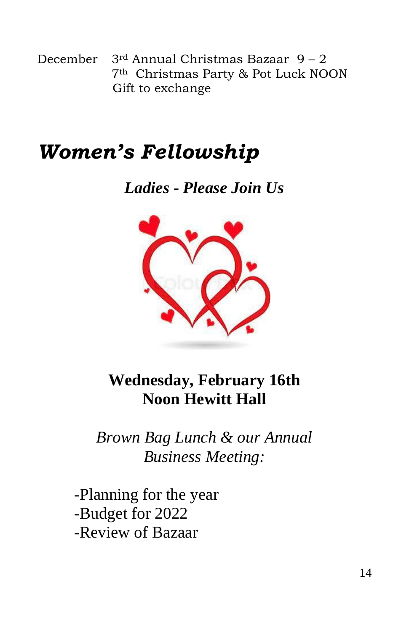December  $3<sup>rd</sup>$  Annual Christmas Bazaar 9 – 2 7th Christmas Party & Pot Luck NOON Gift to exchange

# *Women's Fellowship*

*Ladies* **-** *Please Join Us*



**Wednesday, February 16th Noon Hewitt Hall**

*Brown Bag Lunch & our Annual Business Meeting:*

-Planning for the year -Budget for 2022 -Review of Bazaar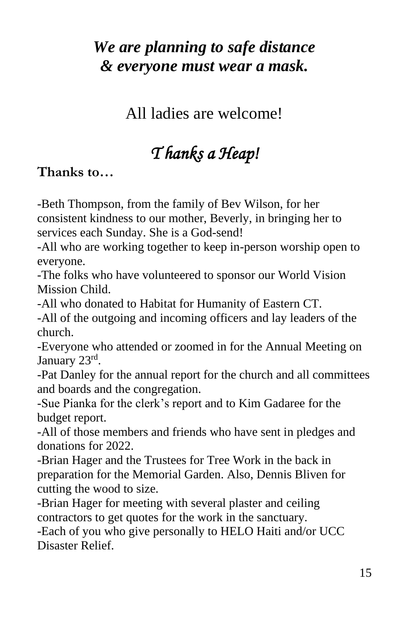## *We are planning to safe distance & everyone must wear a mask.*

All ladies are welcome!

## *T hanks a Heap!*

#### **Thanks to…**

-Beth Thompson, from the family of Bev Wilson, for her consistent kindness to our mother, Beverly, in bringing her to services each Sunday. She is a God-send!

-All who are working together to keep in-person worship open to everyone.

-The folks who have volunteered to sponsor our World Vision Mission Child.

-All who donated to Habitat for Humanity of Eastern CT.

-All of the outgoing and incoming officers and lay leaders of the church.

-Everyone who attended or zoomed in for the Annual Meeting on January 23rd.

-Pat Danley for the annual report for the church and all committees and boards and the congregation.

-Sue Pianka for the clerk's report and to Kim Gadaree for the budget report.

-All of those members and friends who have sent in pledges and donations for 2022.

-Brian Hager and the Trustees for Tree Work in the back in preparation for the Memorial Garden. Also, Dennis Bliven for cutting the wood to size.

-Brian Hager for meeting with several plaster and ceiling contractors to get quotes for the work in the sanctuary.

-Each of you who give personally to HELO Haiti and/or UCC Disaster Relief.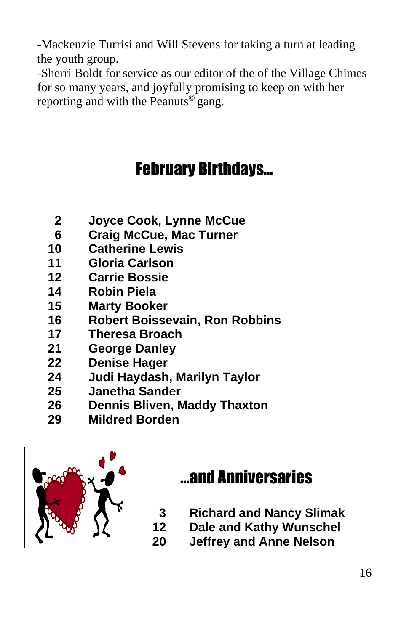-Mackenzie Turrisi and Will Stevens for taking a turn at leading the youth group.

-Sherri Boldt for service as our editor of the of the Village Chimes for so many years, and joyfully promising to keep on with her reporting and with the Peanuts<sup>©</sup> gang.

# February Birthdays…

- **Joyce Cook, Lynne McCue**
- **Craig McCue, Mac Turner**
- **Catherine Lewis**
- **Gloria Carlson**
- **Carrie Bossie**
- **Robin Piela**
- **Marty Booker**
- **Robert Boissevain, Ron Robbins**
- **Theresa Broach**
- **George Danley**
- **Denise Hager**
- **Judi Haydash, Marilyn Taylor**
- **Janetha Sander**
- **Dennis Bliven, Maddy Thaxton**
- **Mildred Borden**



## …and Anniversaries

- **Richard and Nancy Slimak**
- **Dale and Kathy Wunschel**
- **Jeffrey and Anne Nelson**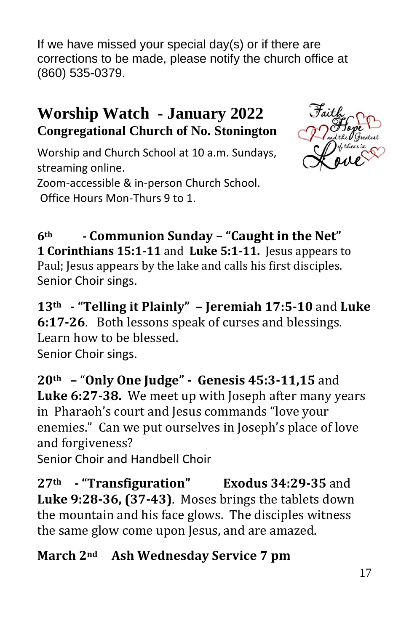If we have missed your special day(s) or if there are corrections to be made, please notify the church office at (860) 535-0379.

### **Worship Watch - January 2022 Congregational Church of No. Stonington**



Worship and Church School at 10 a.m. Sundays, streaming online.

Zoom-accessible & in-person Church School. Office Hours Mon-Thurs 9 to 1.

**6th - Communion Sunday – "Caught in the Net" 1 Corinthians 15:1-11** and **Luke 5:1-11.** Jesus appears to Paul; Jesus appears by the lake and calls his first disciples. Senior Choir sings.

**13th - "Telling it Plainly" – Jeremiah 17:5-10** and **Luke 6:17-26**. Both lessons speak of curses and blessings. Learn how to be blessed. Senior Choir sings.

**20th –** "**Only One Judge" - Genesis 45:3-11,15** and **Luke 6:27-38.** We meet up with Joseph after many years in Pharaoh's court and Jesus commands "love your enemies." Can we put ourselves in Joseph's place of love and forgiveness?

Senior Choir and Handbell Choir

**27th - "Transfiguration" Exodus 34:29-35** and **Luke 9:28-36, (37-43)**. Moses brings the tablets down the mountain and his face glows. The disciples witness the same glow come upon Jesus, and are amazed.

#### **March 2nd Ash Wednesday Service 7 pm**